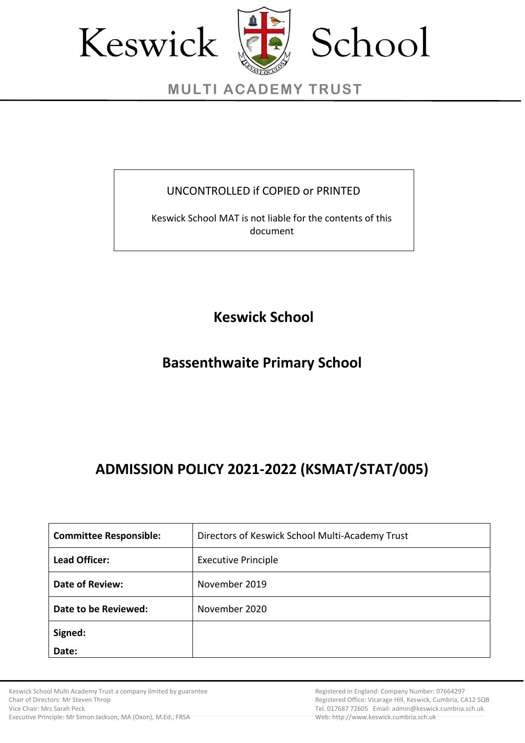



**MULTI ACADEMY TRUST**

## UNCONTROLLED if COPIED or PRINTED

Keswick School MAT is not liable for the contents of this document

**Keswick School**

# **Bassenthwaite Primary School**

# **ADMISSION POLICY 2021-2022 (KSMAT/STAT/005)**

| <b>Committee Responsible:</b> | Directors of Keswick School Multi-Academy Trust |
|-------------------------------|-------------------------------------------------|
| <b>Lead Officer:</b>          | <b>Executive Principle</b>                      |
| Date of Review:               | November 2019                                   |
| Date to be Reviewed:          | November 2020                                   |
| Signed:                       |                                                 |
| Date:                         |                                                 |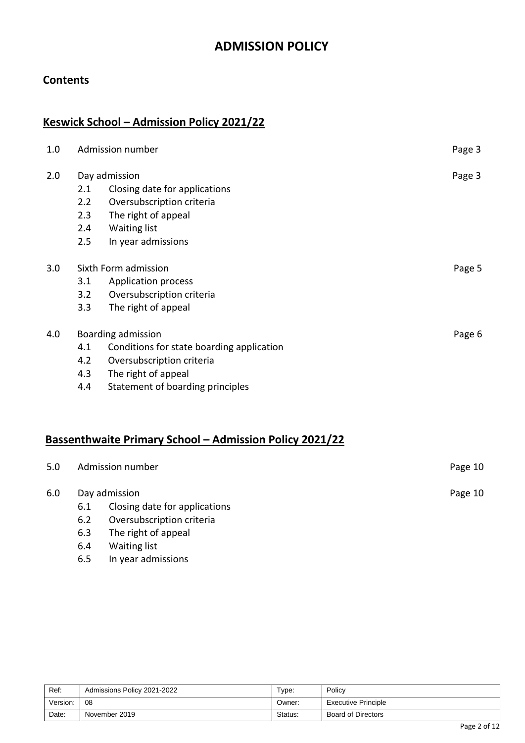## **ADMISSION POLICY**

## **Contents**

## **Keswick School – Admission Policy 2021/22**

| 1.0 |                                 | Admission number                                                                                                                                        | Page 3 |
|-----|---------------------------------|---------------------------------------------------------------------------------------------------------------------------------------------------------|--------|
| 2.0 | 2.1<br>2.2<br>2.3<br>2.4<br>2.5 | Day admission<br>Closing date for applications<br>Oversubscription criteria<br>The right of appeal<br>Waiting list<br>In year admissions                | Page 3 |
| 3.0 | 3.1<br>3.2<br>3.3               | Sixth Form admission<br>Application process<br>Oversubscription criteria<br>The right of appeal                                                         | Page 5 |
| 4.0 | 4.1<br>4.2<br>4.3<br>4.4        | Boarding admission<br>Conditions for state boarding application<br>Oversubscription criteria<br>The right of appeal<br>Statement of boarding principles | Page 6 |

## **Bassenthwaite Primary School – Admission Policy 2021/22**

| 5.0 |                   | Admission number                                                                                   | Page 10 |
|-----|-------------------|----------------------------------------------------------------------------------------------------|---------|
| 6.0 | 6.1<br>6.2<br>6.3 | Day admission<br>Closing date for applications<br>Oversubscription criteria<br>The right of appeal | Page 10 |

- 6.4 Waiting list
- 6.5 In year admissions

| Ref:     | Admissions Policy 2021-2022 | Type:   | Policy                     |
|----------|-----------------------------|---------|----------------------------|
| Version: | 08                          | Owner:  | <b>Executive Principle</b> |
| Date:    | November 2019               | Status: | <b>Board of Directors</b>  |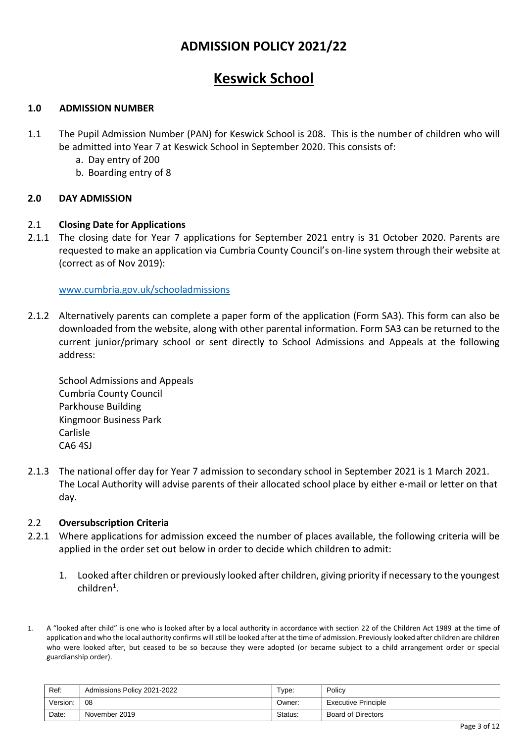## **ADMISSION POLICY 2021/22**

## **Keswick School**

#### **1.0 ADMISSION NUMBER**

- 1.1 The Pupil Admission Number (PAN) for Keswick School is 208. This is the number of children who will be admitted into Year 7 at Keswick School in September 2020. This consists of:
	- a. Day entry of 200
	- b. Boarding entry of 8

#### **2.0 DAY ADMISSION**

#### 2.1 **Closing Date for Applications**

2.1.1 The closing date for Year 7 applications for September 2021 entry is 31 October 2020. Parents are requested to make an application via Cumbria County Council's on-line system through their website at (correct as of Nov 2019):

#### [www.cumbria.gov.uk/schooladmissions](http://www.cumbria.gov.uk/schooladmissions)

2.1.2 Alternatively parents can complete a paper form of the application (Form SA3). This form can also be downloaded from the website, along with other parental information. Form SA3 can be returned to the current junior/primary school or sent directly to School Admissions and Appeals at the following address:

School Admissions and Appeals Cumbria County Council Parkhouse Building Kingmoor Business Park Carlisle CA6 4SJ

2.1.3 The national offer day for Year 7 admission to secondary school in September 2021 is 1 March 2021. The Local Authority will advise parents of their allocated school place by either e-mail or letter on that day.

#### 2.2 **Oversubscription Criteria**

- 2.2.1 Where applications for admission exceed the number of places available, the following criteria will be applied in the order set out below in order to decide which children to admit:
	- 1. Looked after children or previously looked after children, giving priority if necessary to the youngest children<sup>1</sup>.
- 1. A "looked after child" is one who is looked after by a local authority in accordance with section 22 of the Children Act 1989 at the time of application and who the local authority confirms will still be looked after at the time of admission. Previously looked after children are children who were looked after, but ceased to be so because they were adopted (or became subject to a child arrangement order or special guardianship order).

| Ref:     | Admissions Policy 2021-2022 | Type:   | Policy                     |
|----------|-----------------------------|---------|----------------------------|
| Version: | 08                          | Owner:  | <b>Executive Principle</b> |
| Date:    | November 2019               | Status: | <b>Board of Directors</b>  |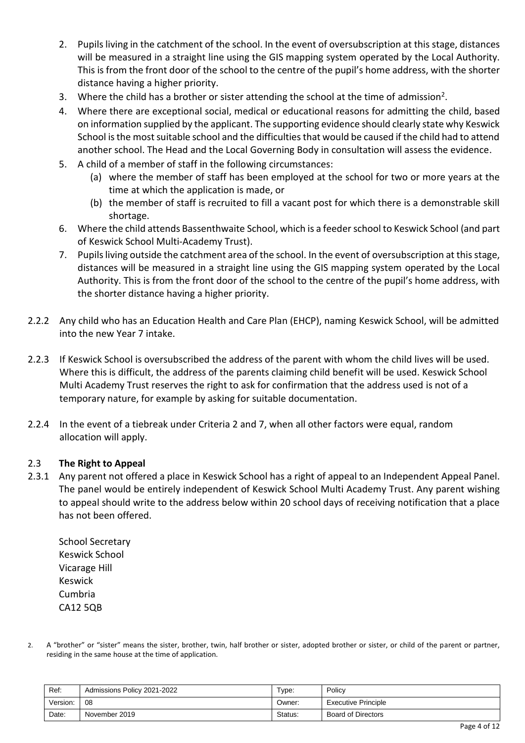- 2. Pupils living in the catchment of the school. In the event of oversubscription at this stage, distances will be measured in a straight line using the GIS mapping system operated by the Local Authority. This is from the front door of the school to the centre of the pupil's home address, with the shorter distance having a higher priority.
- 3. Where the child has a brother or sister attending the school at the time of admission<sup>2</sup>.
- 4. Where there are exceptional social, medical or educational reasons for admitting the child, based on information supplied by the applicant. The supporting evidence should clearly state why Keswick School is the most suitable school and the difficulties that would be caused if the child had to attend another school. The Head and the Local Governing Body in consultation will assess the evidence.
- 5. A child of a member of staff in the following circumstances:
	- (a) where the member of staff has been employed at the school for two or more years at the time at which the application is made, or
	- (b) the member of staff is recruited to fill a vacant post for which there is a demonstrable skill shortage.
- 6. Where the child attends Bassenthwaite School, which is a feeder school to Keswick School (and part of Keswick School Multi-Academy Trust).
- 7. Pupils living outside the catchment area of the school. In the event of oversubscription at this stage, distances will be measured in a straight line using the GIS mapping system operated by the Local Authority. This is from the front door of the school to the centre of the pupil's home address, with the shorter distance having a higher priority.
- 2.2.2 Any child who has an Education Health and Care Plan (EHCP), naming Keswick School, will be admitted into the new Year 7 intake.
- 2.2.3 If Keswick School is oversubscribed the address of the parent with whom the child lives will be used. Where this is difficult, the address of the parents claiming child benefit will be used. Keswick School Multi Academy Trust reserves the right to ask for confirmation that the address used is not of a temporary nature, for example by asking for suitable documentation.
- 2.2.4 In the event of a tiebreak under Criteria 2 and 7, when all other factors were equal, random allocation will apply.

## 2.3 **The Right to Appeal**

2.3.1 Any parent not offered a place in Keswick School has a right of appeal to an Independent Appeal Panel. The panel would be entirely independent of Keswick School Multi Academy Trust. Any parent wishing to appeal should write to the address below within 20 school days of receiving notification that a place has not been offered.

School Secretary Keswick School Vicarage Hill Keswick Cumbria CA12 5QB

2. A "brother" or "sister" means the sister, brother, twin, half brother or sister, adopted brother or sister, or child of the parent or partner, residing in the same house at the time of application.

| Ref:     | Admissions Policy 2021-2022 | туре:   | Policy                     |
|----------|-----------------------------|---------|----------------------------|
| Version: | 08                          | Owner:  | <b>Executive Principle</b> |
| Date:    | November 2019               | Status: | <b>Board of Directors</b>  |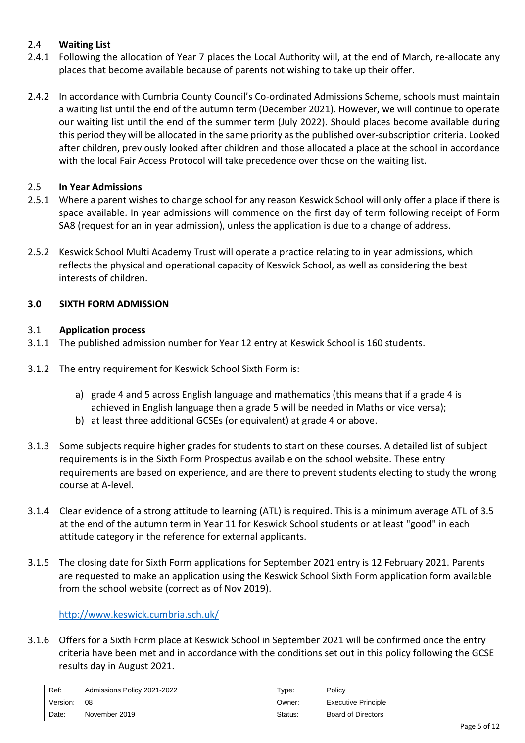## 2.4 **Waiting List**

- 2.4.1 Following the allocation of Year 7 places the Local Authority will, at the end of March, re-allocate any places that become available because of parents not wishing to take up their offer.
- 2.4.2 In accordance with Cumbria County Council's Co-ordinated Admissions Scheme, schools must maintain a waiting list until the end of the autumn term (December 2021). However, we will continue to operate our waiting list until the end of the summer term (July 2022). Should places become available during this period they will be allocated in the same priority as the published over-subscription criteria. Looked after children, previously looked after children and those allocated a place at the school in accordance with the local Fair Access Protocol will take precedence over those on the waiting list.

## 2.5 **In Year Admissions**

- 2.5.1 Where a parent wishes to change school for any reason Keswick School will only offer a place if there is space available. In year admissions will commence on the first day of term following receipt of Form SA8 (request for an in year admission), unless the application is due to a change of address.
- 2.5.2 Keswick School Multi Academy Trust will operate a practice relating to in year admissions, which reflects the physical and operational capacity of Keswick School, as well as considering the best interests of children.

## **3.0 SIXTH FORM ADMISSION**

## 3.1 **Application process**

- 3.1.1 The published admission number for Year 12 entry at Keswick School is 160 students.
- 3.1.2 The entry requirement for Keswick School Sixth Form is:
	- a) grade 4 and 5 across English language and mathematics (this means that if a grade 4 is achieved in English language then a grade 5 will be needed in Maths or vice versa);
	- b) at least three additional GCSEs (or equivalent) at grade 4 or above.
- 3.1.3 Some subjects require higher grades for students to start on these courses. A detailed list of subject requirements is in the Sixth Form Prospectus available on the school website. These entry requirements are based on experience, and are there to prevent students electing to study the wrong course at A-level.
- 3.1.4 Clear evidence of a strong attitude to learning (ATL) is required. This is a minimum average ATL of 3.5 at the end of the autumn term in Year 11 for Keswick School students or at least "good" in each attitude category in the reference for external applicants.
- 3.1.5 The closing date for Sixth Form applications for September 2021 entry is 12 February 2021. Parents are requested to make an application using the Keswick School Sixth Form application form available from the school website (correct as of Nov 2019).

<http://www.keswick.cumbria.sch.uk/>

3.1.6 Offers for a Sixth Form place at Keswick School in September 2021 will be confirmed once the entry criteria have been met and in accordance with the conditions set out in this policy following the GCSE results day in August 2021.

| Ref:     | Admissions Policy 2021-2022 | vpe.    | Policy                     |
|----------|-----------------------------|---------|----------------------------|
| Version: | 08                          | Owner:  | <b>Executive Principle</b> |
| Date:    | November 2019               | Status: | <b>Board of Directors</b>  |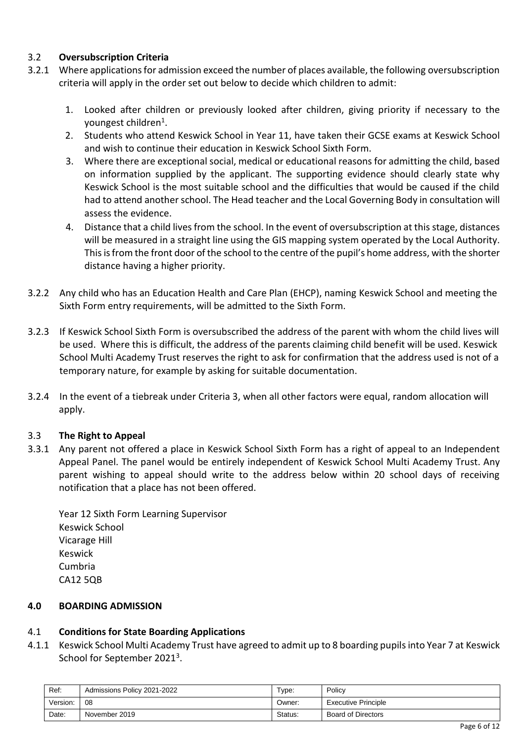## 3.2 **Oversubscription Criteria**

- 3.2.1 Where applications for admission exceed the number of places available, the following oversubscription criteria will apply in the order set out below to decide which children to admit:
	- 1. Looked after children or previously looked after children, giving priority if necessary to the youngest children<sup>1</sup>.
	- 2. Students who attend Keswick School in Year 11, have taken their GCSE exams at Keswick School and wish to continue their education in Keswick School Sixth Form.
	- 3. Where there are exceptional social, medical or educational reasons for admitting the child, based on information supplied by the applicant. The supporting evidence should clearly state why Keswick School is the most suitable school and the difficulties that would be caused if the child had to attend another school. The Head teacher and the Local Governing Body in consultation will assess the evidence.
	- 4. Distance that a child lives from the school. In the event of oversubscription at this stage, distances will be measured in a straight line using the GIS mapping system operated by the Local Authority. This isfrom the front door of the school to the centre of the pupil's home address, with the shorter distance having a higher priority.
- 3.2.2 Any child who has an Education Health and Care Plan (EHCP), naming Keswick School and meeting the Sixth Form entry requirements, will be admitted to the Sixth Form.
- 3.2.3 If Keswick School Sixth Form is oversubscribed the address of the parent with whom the child lives will be used. Where this is difficult, the address of the parents claiming child benefit will be used. Keswick School Multi Academy Trust reserves the right to ask for confirmation that the address used is not of a temporary nature, for example by asking for suitable documentation.
- 3.2.4 In the event of a tiebreak under Criteria 3, when all other factors were equal, random allocation will apply.

## 3.3 **The Right to Appeal**

3.3.1 Any parent not offered a place in Keswick School Sixth Form has a right of appeal to an Independent Appeal Panel. The panel would be entirely independent of Keswick School Multi Academy Trust. Any parent wishing to appeal should write to the address below within 20 school days of receiving notification that a place has not been offered.

Year 12 Sixth Form Learning Supervisor Keswick School Vicarage Hill Keswick Cumbria CA12 5QB

## **4.0 BOARDING ADMISSION**

## 4.1 **Conditions for State Boarding Applications**

4.1.1 Keswick School Multi Academy Trust have agreed to admit up to 8 boarding pupils into Year 7 at Keswick School for September 2021<sup>3</sup>.

| Ref:     | Admissions Policy 2021-2022 | Type:   | Policy                     |
|----------|-----------------------------|---------|----------------------------|
| Version: | 08                          | Owner:  | <b>Executive Principle</b> |
| Date:    | November 2019               | Status: | <b>Board of Directors</b>  |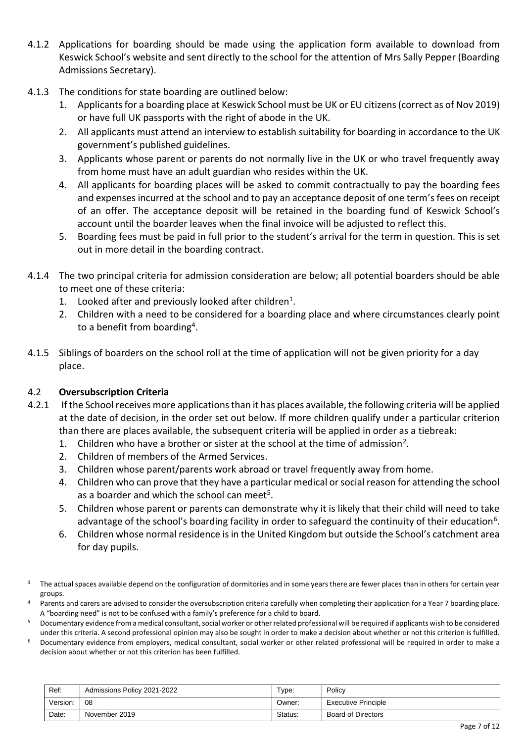- 4.1.2 Applications for boarding should be made using the application form available to download from Keswick School's website and sent directly to the school for the attention of Mrs Sally Pepper (Boarding Admissions Secretary).
- 4.1.3 The conditions for state boarding are outlined below:
	- 1. Applicants for a boarding place at Keswick School must be UK or EU citizens (correct as of Nov 2019) or have full UK passports with the right of abode in the UK.
	- 2. All applicants must attend an interview to establish suitability for boarding in accordance to the UK government's published guidelines.
	- 3. Applicants whose parent or parents do not normally live in the UK or who travel frequently away from home must have an adult guardian who resides within the UK.
	- 4. All applicants for boarding places will be asked to commit contractually to pay the boarding fees and expenses incurred at the school and to pay an acceptance deposit of one term's fees on receipt of an offer. The acceptance deposit will be retained in the boarding fund of Keswick School's account until the boarder leaves when the final invoice will be adjusted to reflect this.
	- 5. Boarding fees must be paid in full prior to the student's arrival for the term in question. This is set out in more detail in the boarding contract.
- 4.1.4 The two principal criteria for admission consideration are below; all potential boarders should be able to meet one of these criteria:
	- 1. Looked after and previously looked after children<sup>1</sup>.
	- 2. Children with a need to be considered for a boarding place and where circumstances clearly point to a benefit from boarding<sup>4</sup>.
- 4.1.5 Siblings of boarders on the school roll at the time of application will not be given priority for a day place.

## 4.2 **Oversubscription Criteria**

- 4.2.1 If the School receives more applications than it has places available, the following criteria will be applied at the date of decision, in the order set out below. If more children qualify under a particular criterion than there are places available, the subsequent criteria will be applied in order as a tiebreak:
	- 1. Children who have a brother or sister at the school at the time of admission<sup>2</sup>.
	- 2. Children of members of the Armed Services.
	- 3. Children whose parent/parents work abroad or travel frequently away from home.
	- 4. Children who can prove that they have a particular medical or social reason for attending the school as a boarder and which the school can meet<sup>5</sup>.
	- 5. Children whose parent or parents can demonstrate why it is likely that their child will need to take advantage of the school's boarding facility in order to safeguard the continuity of their education<sup>6</sup>.
	- 6. Children whose normal residence is in the United Kingdom but outside the School's catchment area for day pupils.
- 3. The actual spaces available depend on the configuration of dormitories and in some years there are fewer places than in others for certain year groups.
- <sup>4</sup> Parents and carers are advised to consider the oversubscription criteria carefully when completing their application for a Year 7 boarding place. A "boarding need" is not to be confused with a family's preference for a child to board.
- <sup>5</sup> Documentary evidence from a medical consultant, social worker or other related professional will be required if applicants wish to be considered under this criteria. A second professional opinion may also be sought in order to make a decision about whether or not this criterion is fulfilled.
- <sup>6</sup> Documentary evidence from employers, medical consultant, social worker or other related professional will be required in order to make a decision about whether or not this criterion has been fulfilled.

| Ref:     | Admissions Policy 2021-2022 | Type:   | Policy                     |
|----------|-----------------------------|---------|----------------------------|
| Version: | 08                          | Owner:  | <b>Executive Principle</b> |
| Date:    | November 2019               | Status: | Board of Directors         |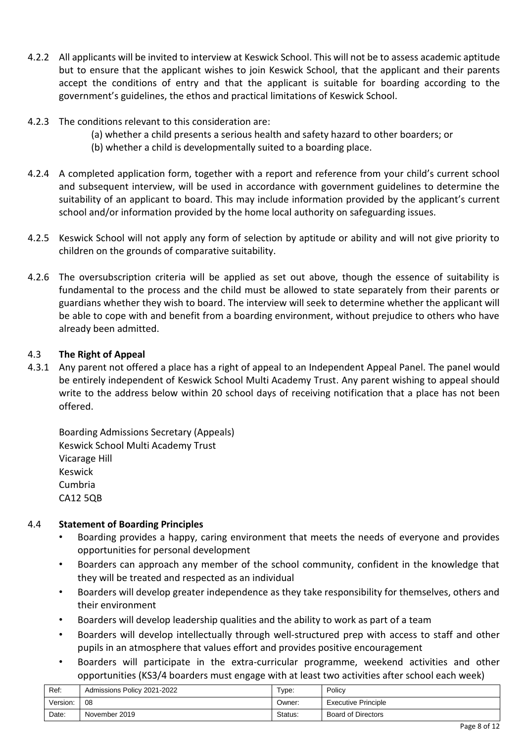- 4.2.2 All applicants will be invited to interview at Keswick School. This will not be to assess academic aptitude but to ensure that the applicant wishes to join Keswick School, that the applicant and their parents accept the conditions of entry and that the applicant is suitable for boarding according to the government's guidelines, the ethos and practical limitations of Keswick School.
- 4.2.3 The conditions relevant to this consideration are:
	- (a) whether a child presents a serious health and safety hazard to other boarders; or
	- (b) whether a child is developmentally suited to a boarding place.
- 4.2.4 A completed application form, together with a report and reference from your child's current school and subsequent interview, will be used in accordance with government guidelines to determine the suitability of an applicant to board. This may include information provided by the applicant's current school and/or information provided by the home local authority on safeguarding issues.
- 4.2.5 Keswick School will not apply any form of selection by aptitude or ability and will not give priority to children on the grounds of comparative suitability.
- 4.2.6 The oversubscription criteria will be applied as set out above, though the essence of suitability is fundamental to the process and the child must be allowed to state separately from their parents or guardians whether they wish to board. The interview will seek to determine whether the applicant will be able to cope with and benefit from a boarding environment, without prejudice to others who have already been admitted.

#### 4.3 **The Right of Appeal**

4.3.1 Any parent not offered a place has a right of appeal to an Independent Appeal Panel. The panel would be entirely independent of Keswick School Multi Academy Trust. Any parent wishing to appeal should write to the address below within 20 school days of receiving notification that a place has not been offered.

Boarding Admissions Secretary (Appeals) Keswick School Multi Academy Trust Vicarage Hill Keswick Cumbria CA12 5QB

#### 4.4 **Statement of Boarding Principles**

- Boarding provides a happy, caring environment that meets the needs of everyone and provides opportunities for personal development
- Boarders can approach any member of the school community, confident in the knowledge that they will be treated and respected as an individual
- Boarders will develop greater independence as they take responsibility for themselves, others and their environment
- Boarders will develop leadership qualities and the ability to work as part of a team
- Boarders will develop intellectually through well-structured prep with access to staff and other pupils in an atmosphere that values effort and provides positive encouragement
- Boarders will participate in the extra-curricular programme, weekend activities and other opportunities (KS3/4 boarders must engage with at least two activities after school each week)

| Ref:     | Admissions Policy 2021-2022 | Type:   | Policy                     |
|----------|-----------------------------|---------|----------------------------|
| Version: | 08                          | Owner:  | <b>Executive Principle</b> |
| Date:    | November 2019               | Status: | <b>Board of Directors</b>  |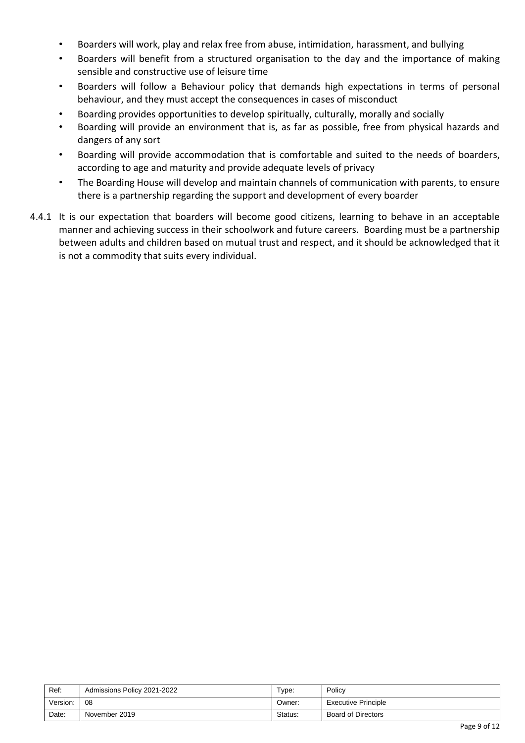- Boarders will work, play and relax free from abuse, intimidation, harassment, and bullying
- Boarders will benefit from a structured organisation to the day and the importance of making sensible and constructive use of leisure time
- Boarders will follow a Behaviour policy that demands high expectations in terms of personal behaviour, and they must accept the consequences in cases of misconduct
- Boarding provides opportunities to develop spiritually, culturally, morally and socially
- Boarding will provide an environment that is, as far as possible, free from physical hazards and dangers of any sort
- Boarding will provide accommodation that is comfortable and suited to the needs of boarders, according to age and maturity and provide adequate levels of privacy
- The Boarding House will develop and maintain channels of communication with parents, to ensure there is a partnership regarding the support and development of every boarder
- 4.4.1 It is our expectation that boarders will become good citizens, learning to behave in an acceptable manner and achieving success in their schoolwork and future careers. Boarding must be a partnership between adults and children based on mutual trust and respect, and it should be acknowledged that it is not a commodity that suits every individual.

| Ref:     | Admissions Policy 2021-2022 | Гуре:   | Policy                     |
|----------|-----------------------------|---------|----------------------------|
| Version: | 08                          | Owner:  | <b>Executive Principle</b> |
| Date:    | November 2019               | Status: | <b>Board of Directors</b>  |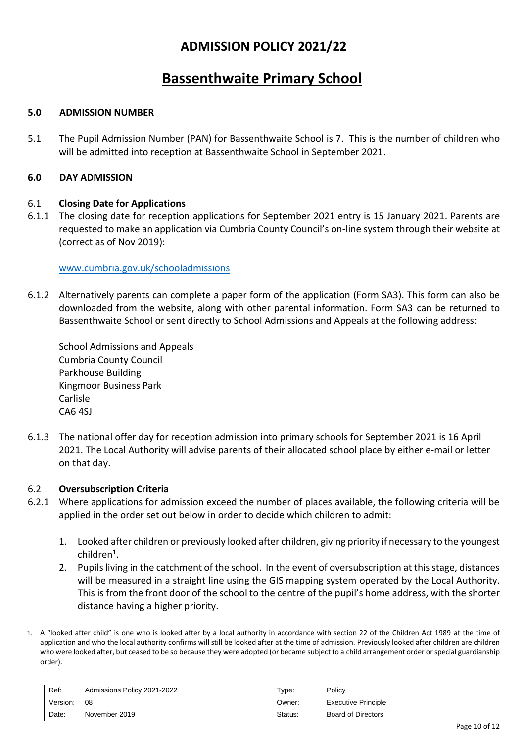## **ADMISSION POLICY 2021/22**

## **Bassenthwaite Primary School**

#### **5.0 ADMISSION NUMBER**

5.1 The Pupil Admission Number (PAN) for Bassenthwaite School is 7. This is the number of children who will be admitted into reception at Bassenthwaite School in September 2021.

#### **6.0 DAY ADMISSION**

#### 6.1 **Closing Date for Applications**

6.1.1 The closing date for reception applications for September 2021 entry is 15 January 2021. Parents are requested to make an application via Cumbria County Council's on-line system through their website at (correct as of Nov 2019):

#### [www.cumbria.gov.uk/schooladmissions](http://www.cumbria.gov.uk/schooladmissions)

6.1.2 Alternatively parents can complete a paper form of the application (Form SA3). This form can also be downloaded from the website, along with other parental information. Form SA3 can be returned to Bassenthwaite School or sent directly to School Admissions and Appeals at the following address:

School Admissions and Appeals Cumbria County Council Parkhouse Building Kingmoor Business Park Carlisle CA6 4SJ

6.1.3 The national offer day for reception admission into primary schools for September 2021 is 16 April 2021. The Local Authority will advise parents of their allocated school place by either e-mail or letter on that day.

#### 6.2 **Oversubscription Criteria**

- 6.2.1 Where applications for admission exceed the number of places available, the following criteria will be applied in the order set out below in order to decide which children to admit:
	- 1. Looked after children or previously looked after children, giving priority if necessary to the youngest children<sup>1</sup>.
	- 2. Pupils living in the catchment of the school. In the event of oversubscription at this stage, distances will be measured in a straight line using the GIS mapping system operated by the Local Authority. This is from the front door of the school to the centre of the pupil's home address, with the shorter distance having a higher priority.
- 1. A "looked after child" is one who is looked after by a local authority in accordance with section 22 of the Children Act 1989 at the time of application and who the local authority confirms will still be looked after at the time of admission. Previously looked after children are children who were looked after, but ceased to be so because they were adopted (or became subject to a child arrangement order or special guardianship order).

| Ref:     | Admissions Policy 2021-2022 | Type:   | Policy                     |
|----------|-----------------------------|---------|----------------------------|
| Version: | 08                          | Owner:  | <b>Executive Principle</b> |
| Date:    | November 2019               | Status: | <b>Board of Directors</b>  |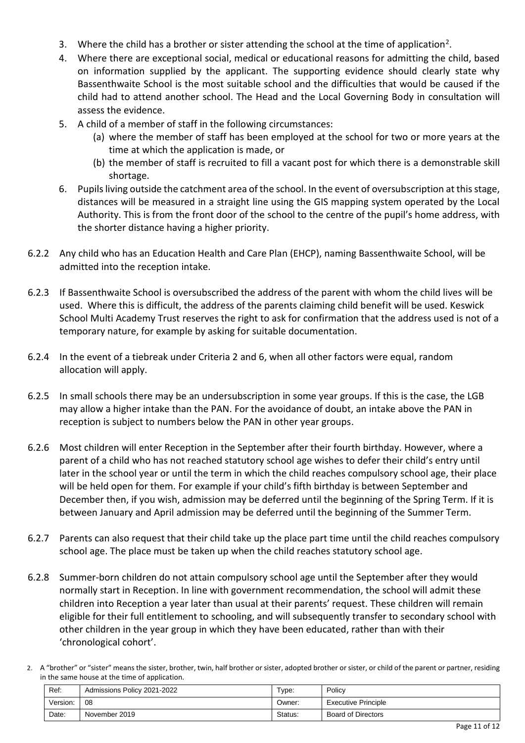- 3. Where the child has a brother or sister attending the school at the time of application<sup>2</sup>.
- 4. Where there are exceptional social, medical or educational reasons for admitting the child, based on information supplied by the applicant. The supporting evidence should clearly state why Bassenthwaite School is the most suitable school and the difficulties that would be caused if the child had to attend another school. The Head and the Local Governing Body in consultation will assess the evidence.
- 5. A child of a member of staff in the following circumstances:
	- (a) where the member of staff has been employed at the school for two or more years at the time at which the application is made, or
	- (b) the member of staff is recruited to fill a vacant post for which there is a demonstrable skill shortage.
- 6. Pupils living outside the catchment area of the school. In the event of oversubscription at this stage, distances will be measured in a straight line using the GIS mapping system operated by the Local Authority. This is from the front door of the school to the centre of the pupil's home address, with the shorter distance having a higher priority.
- 6.2.2 Any child who has an Education Health and Care Plan (EHCP), naming Bassenthwaite School, will be admitted into the reception intake.
- 6.2.3 If Bassenthwaite School is oversubscribed the address of the parent with whom the child lives will be used. Where this is difficult, the address of the parents claiming child benefit will be used. Keswick School Multi Academy Trust reserves the right to ask for confirmation that the address used is not of a temporary nature, for example by asking for suitable documentation.
- 6.2.4 In the event of a tiebreak under Criteria 2 and 6, when all other factors were equal, random allocation will apply.
- 6.2.5 In small schools there may be an undersubscription in some year groups. If this is the case, the LGB may allow a higher intake than the PAN. For the avoidance of doubt, an intake above the PAN in reception is subject to numbers below the PAN in other year groups.
- 6.2.6 Most children will enter Reception in the September after their fourth birthday. However, where a parent of a child who has not reached statutory school age wishes to defer their child's entry until later in the school year or until the term in which the child reaches compulsory school age, their place will be held open for them. For example if your child's fifth birthday is between September and December then, if you wish, admission may be deferred until the beginning of the Spring Term. If it is between January and April admission may be deferred until the beginning of the Summer Term.
- 6.2.7 Parents can also request that their child take up the place part time until the child reaches compulsory school age. The place must be taken up when the child reaches statutory school age.
- 6.2.8 Summer-born children do not attain compulsory school age until the September after they would normally start in Reception. In line with government recommendation, the school will admit these children into Reception a year later than usual at their parents' request. These children will remain eligible for their full entitlement to schooling, and will subsequently transfer to secondary school with other children in the year group in which they have been educated, rather than with their 'chronological cohort'.
- 2. A "brother" or "sister" means the sister, brother, twin, half brother or sister, adopted brother or sister, or child of the parent or partner, residing in the same house at the time of application.

| Ref:     | Admissions Policy 2021-2022 | Type:   | Policy                     |
|----------|-----------------------------|---------|----------------------------|
| Version: | 08                          | Owner:  | <b>Executive Principle</b> |
| Date:    | November 2019               | Status: | <b>Board of Directors</b>  |